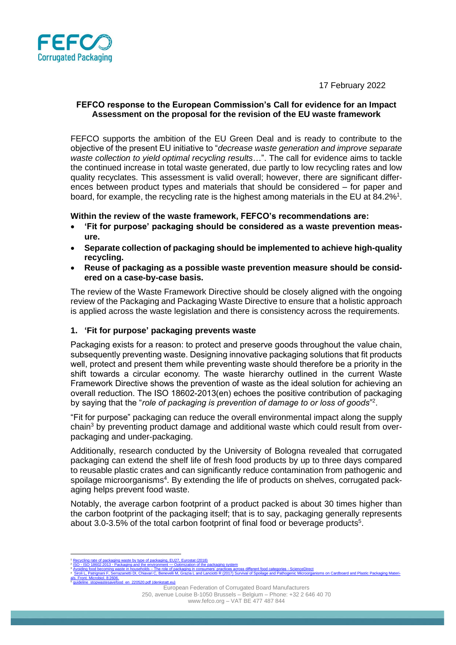17 February 2022



### **FEFCO response to the European Commission's Call for evidence for an Impact Assessment on the proposal for the revision of the EU waste framework**

FEFCO supports the ambition of the EU Green Deal and is ready to contribute to the objective of the present EU initiative to "*decrease waste generation and improve separate waste collection to yield optimal recycling results*…". The call for evidence aims to tackle the continued increase in total waste generated, due partly to low recycling rates and low quality recyclates. This assessment is valid overall; however, there are significant differences between product types and materials that should be considered – for paper and board, for example, the recycling rate is the highest among materials in the EU at 84.2%<sup>1</sup>.

## **Within the review of the waste framework, FEFCO's recommendations are:**

- **'Fit for purpose' packaging should be considered as a waste prevention measure.**
- **Separate collection of packaging should be implemented to achieve high-quality recycling.**
- **Reuse of packaging as a possible waste prevention measure should be considered on a case-by-case basis.**

The review of the Waste Framework Directive should be closely aligned with the ongoing review of the Packaging and Packaging Waste Directive to ensure that a holistic approach is applied across the waste legislation and there is consistency across the requirements.

# **1. 'Fit for purpose' packaging prevents waste**

Packaging exists for a reason: to protect and preserve goods throughout the value chain, subsequently preventing waste. Designing innovative packaging solutions that fit products well, protect and present them while preventing waste should therefore be a priority in the shift towards a circular economy. The waste hierarchy outlined in the current Waste Framework Directive shows the prevention of waste as the ideal solution for achieving an overall reduction. The ISO 18602-2013(en) echoes the positive contribution of packaging by saying that the "role of packaging is prevention of damage to or loss of goods"<sup>2</sup>.

"Fit for purpose" packaging can reduce the overall environmental impact along the supply chain<sup>3</sup> by preventing product damage and additional waste which could result from overpackaging and under-packaging.

Additionally, research conducted by the University of Bologna revealed that corrugated packaging can extend the shelf life of fresh food products by up to three days compared to reusable plastic crates and can significantly reduce contamination from pathogenic and spoilage microorganisms<sup>4</sup>. By extending the life of products on shelves, corrugated packaging helps prevent food waste.

Notably, the average carbon footprint of a product packed is about 30 times higher than the carbon footprint of the packaging itself; that is to say, packaging generally represents about 3.0-3.5% of the total carbon footprint of final food or beverage products<sup>5</sup>.

ng rate of packaging waste by type of packaging, EU27, Eurostat (2018) ISO - ISO 18602:2013 - Packaging and the environment — [Optimization of the packaging system](https://www.iso.org/standard/55870.html) <sup>3</sup> Avoiding food becoming waste in households – [The role of packaging in consumers' practices across different food categories -](https://www.sciencedirect.com/science/article/pii/S0959652620318229) ScienceDirect <sup>4</sup> [Siroli L, Patrignani F, Serrazanetti DI, Chiavari C, Benevelli M, Grazia L and Lanciotti R \(2017\) Survival of Spoilage and Pathogenic Microorganisms](https://www.frontiersin.org/articles/10.3389/fmicb.2017.02606/full?&utm_source=Email_to_authors_&utm_medium=Email&utm_content=T1_11.5e1_author&utm_campaign=Email_publication&field=&journalName=Frontiers_in_Microbiology&id=313909) on Cardboard and Plastic Packaging Materi[als. Front. Microbiol. 8:2606.](https://www.frontiersin.org/articles/10.3389/fmicb.2017.02606/full?&utm_source=Email_to_authors_&utm_medium=Email&utm_content=T1_11.5e1_author&utm_campaign=Email_publication&field=&journalName=Frontiers_in_Microbiology&id=313909) en\_220520.pdf (denkstatt.eu)